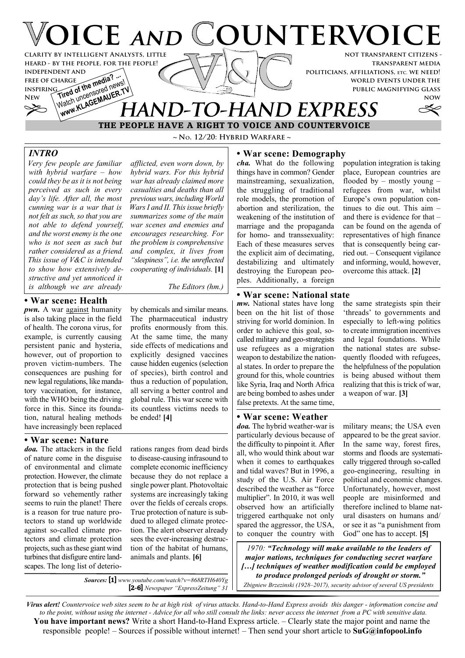

**~ No. 12/20: Hybrid Warfare ~**

*Very few people are familiar with hybrid warfare – how could they be as it is not being perceived as such in every day's life. After all, the most cunning war is a war that is not felt as such, so that you are not able to defend yourself, and the worst enemy is the one who is not seen as such but rather considered as a friend. This issue of V&C is intended to show how extensively destructive and yet unnoticed it is although we are already*

# **• War scene: Health**

*pwn.* A war <u>against</u> humanity is also taking place in the field of health. The corona virus, for example, is currently causing persistent panic and hysteria, however, out of proportion to proven victim-numbers. The consequences are pushing for new legal regulations, like mandatory vaccination, for instance, with the WHO being the driving force in this. Since its foundation, natural healing methods have increasingly been replaced

## **• War scene: Nature**

*doa.* The attackers in the field of nature come in the disguise of environmental and climate protection. However, the climate protection that is being pushed forward so vehemently rather seems to ruin the planet! There is a reason for true nature protectors to stand up worldwide against so-called climate protectors and climate protection projects, such as these giant wind turbines that disfigure entire landscapes. The long list of deterio*afflicted, even worn down, by hybrid wars. For this hybrid war has already claimed more casualties and deaths than all previous wars, including World Wars I and II. This issue briefly summarizes some of the main war scenes and enemies and encourages researching. For the problem is comprehensive and complex, it lives from "sleepiness", i.e. the unreflected cooperating of individuals.* **[1]**

*The Editors (hm.)*

by chemicals and similar means. The pharmaceutical industry profits enormously from this. At the same time, the many side effects of medications and explicitly designed vaccines cause hidden eugenics (selection of species), birth control and thus a reduction of population, all serving a better control and global rule. This war scene with its countless victims needs to be ended! **[4]**

rations ranges from dead birds to disease-causing infrasound to complete economic inefficiency because they do not replace a single power plant. Photovoltaic systems are increasingly taking over the fields of cereals crops. True protection of nature is subdued to alleged climate protection. The alert observer already sees the ever-increasing destruction of the habitat of humans, animals and plants. **[6]**

*Sources:* **[1]** *www.youtube.com/watch?v=868RTH640Yg* **[2-6]** *Newspaper "ExpressZeitung" 31*

## *INTRO* **• War scene: Demography**

*cha.* What do the following things have in common? Gender mainstreaming, sexualization, the struggling of traditional role models, the promotion of abortion and sterilization, the weakening of the institution of marriage and the propaganda for homo- and transsexuality: Each of these measures serves the explicit aim of decimating, destabilizing and ultimately destroying the European peoples. Additionally, a foreign

population integration is taking place, European countries are flooded by – mostly young – refugees from war, whilst Europe's own population continues to die out. This aim – and there is evidence for that – can be found on the agenda of representatives of high finance that is consequently being carried out. – Consequent vigilance and informing, would, however, overcome this attack. **[2]**

## **• War scene: National state**

*mw.* National states have long been on the hit list of those striving for world dominion. In order to achieve this goal, socalled military and geo-strategists use refugees as a migration weapon to destabilize the national states. In order to prepare the ground for this, whole countries like Syria, Iraq and North Africa are being bombed to ashes under false pretexts. At the same time,

## **• War scene: Weather**

*doa.* The hybrid weather-war is particularly devious because of the difficulty to pinpoint it. After all, who would think about war when it comes to earthquakes and tidal waves? But in 1996, a study of the U.S. Air Force described the weather as "force multiplier". In 2010, it was well observed how an artificially triggered earthquake not only spared the aggressor, the USA, to conquer the country with the same strategists spin their 'threads' to governments and especially to left-wing politics to create immigration incentives and legal foundations. While the national states are subsequently flooded with refugees, the helpfulness of the population is being abused without them realizing that this is trick of war, a weapon of war. **[3]**

military means; the USA even appeared to be the great savior. In the same way, forest fires, storms and floods are systematically triggered through so-called geo-engineering, resulting in political and economic changes. Unfortunately, however, most people are misinformed and therefore inclined to blame natural disasters on humans and/ or see it as "a punishment from God" one has to accept. **[5]**

*1970: "Technology will make available to the leaders of major nations, techniques for conducting secret warfare […] techniques of weather modification could be employed to produce prolonged periods of drought or storm."*

*Zbigniew Brzezinski (1928–2017), security advisor of several US presidents*

*Virus alert! Countervoice web sites seem to be at high risk of virus attacks. Hand-to-Hand Express avoids this danger - information concise and to the point, without using the internet - Advice for all who still consult the links: never access the internet from a PC with sensitive data.* **You have important news?** Write a short Hand-to-Hand Express article. – Clearly state the major point and name the responsible people! – Sources if possible without internet! – Then send your short article to **SuG@infopool.info**